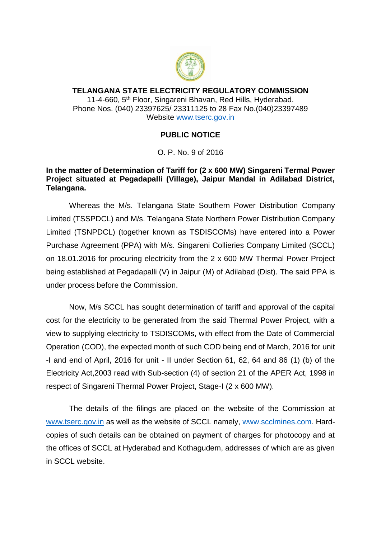

## **TELANGANA STATE ELECTRICITY REGULATORY COMMISSION** 11-4-660, 5<sup>th</sup> Floor, Singareni Bhavan, Red Hills, Hyderabad. Phone Nos. (040) 23397625/ 23311125 to 28 Fax No.(040)23397489 Website [www.tserc.gov.in](http://www.tserc.gov.in/)

## **PUBLIC NOTICE**

O. P. No. 9 of 2016

## **In the matter of Determination of Tariff for (2 x 600 MW) Singareni Termal Power Project situated at Pegadapalli (Village), Jaipur Mandal in Adilabad District, Telangana.**

Whereas the M/s. Telangana State Southern Power Distribution Company Limited (TSSPDCL) and M/s. Telangana State Northern Power Distribution Company Limited (TSNPDCL) (together known as TSDISCOMs) have entered into a Power Purchase Agreement (PPA) with M/s. Singareni Collieries Company Limited (SCCL) on 18.01.2016 for procuring electricity from the 2 x 600 MW Thermal Power Project being established at Pegadapalli (V) in Jaipur (M) of Adilabad (Dist). The said PPA is under process before the Commission.

Now, M/s SCCL has sought determination of tariff and approval of the capital cost for the electricity to be generated from the said Thermal Power Project, with a view to supplying electricity to TSDISCOMs, with effect from the Date of Commercial Operation (COD), the expected month of such COD being end of March, 2016 for unit -I and end of April, 2016 for unit - II under Section 61, 62, 64 and 86 (1) (b) of the Electricity Act,2003 read with Sub-section (4) of section 21 of the APER Act, 1998 in respect of Singareni Thermal Power Project, Stage-I (2 x 600 MW).

The details of the filings are placed on the website of the Commission at [www.tserc.gov.in](http://www.tserc.gov.in/) as well as the website of SCCL namely, [www.scclmines.com.](http://www.scclmines.com/) Hardcopies of such details can be obtained on payment of charges for photocopy and at the offices of SCCL at Hyderabad and Kothagudem, addresses of which are as given in SCCL website.